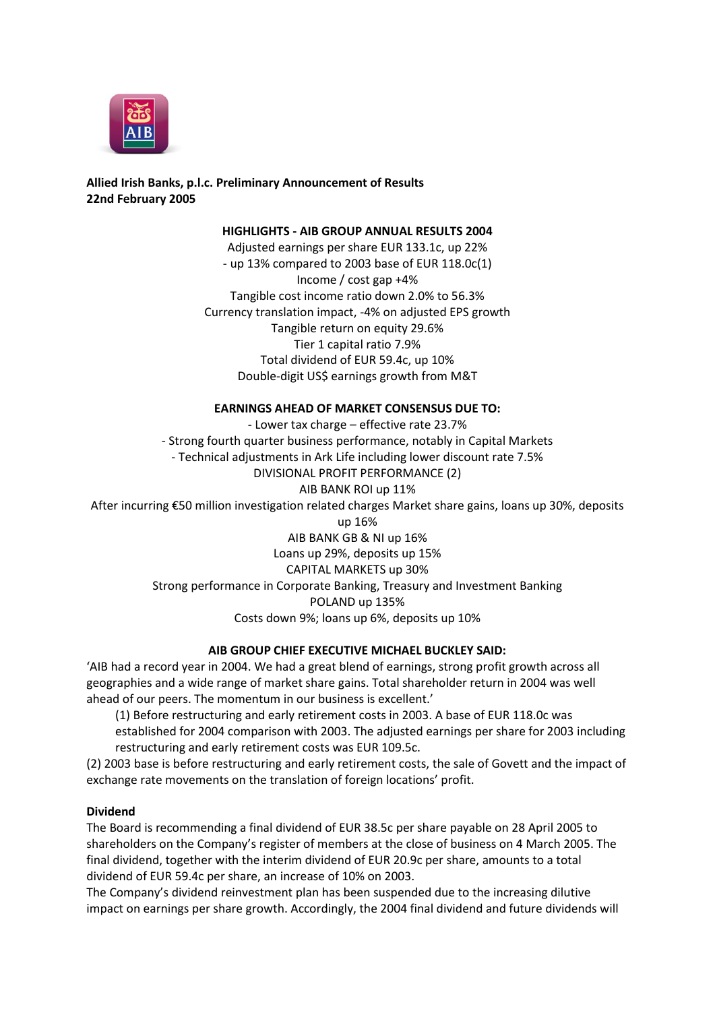

**Allied Irish Banks, p.l.c. Preliminary Announcement of Results 22nd February 2005**

**HIGHLIGHTS - AIB GROUP ANNUAL RESULTS 2004**

Adjusted earnings per share EUR 133.1c, up 22% - up 13% compared to 2003 base of EUR 118.0c(1) Income / cost gap +4% Tangible cost income ratio down 2.0% to 56.3% Currency translation impact, -4% on adjusted EPS growth Tangible return on equity 29.6% Tier 1 capital ratio 7.9% Total dividend of EUR 59.4c, up 10% Double-digit US\$ earnings growth from M&T

## **EARNINGS AHEAD OF MARKET CONSENSUS DUE TO:**

- Lower tax charge – effective rate 23.7% - Strong fourth quarter business performance, notably in Capital Markets - Technical adjustments in Ark Life including lower discount rate 7.5% DIVISIONAL PROFIT PERFORMANCE (2) AIB BANK ROI up 11% After incurring €50 million investigation related charges Market share gains, loans up 30%, deposits up 16% AIB BANK GB & NI up 16% Loans up 29%, deposits up 15% CAPITAL MARKETS up 30% Strong performance in Corporate Banking, Treasury and Investment Banking POLAND up 135% Costs down 9%; loans up 6%, deposits up 10%

## **AIB GROUP CHIEF EXECUTIVE MICHAEL BUCKLEY SAID:**

'AIB had a record year in 2004. We had a great blend of earnings, strong profit growth across all geographies and a wide range of market share gains. Total shareholder return in 2004 was well ahead of our peers. The momentum in our business is excellent.'

(1) Before restructuring and early retirement costs in 2003. A base of EUR 118.0c was established for 2004 comparison with 2003. The adjusted earnings per share for 2003 including restructuring and early retirement costs was EUR 109.5c.

(2) 2003 base is before restructuring and early retirement costs, the sale of Govett and the impact of exchange rate movements on the translation of foreign locations' profit.

## **Dividend**

The Board is recommending a final dividend of EUR 38.5c per share payable on 28 April 2005 to shareholders on the Company's register of members at the close of business on 4 March 2005. The final dividend, together with the interim dividend of EUR 20.9c per share, amounts to a total dividend of EUR 59.4c per share, an increase of 10% on 2003.

The Company's dividend reinvestment plan has been suspended due to the increasing dilutive impact on earnings per share growth. Accordingly, the 2004 final dividend and future dividends will